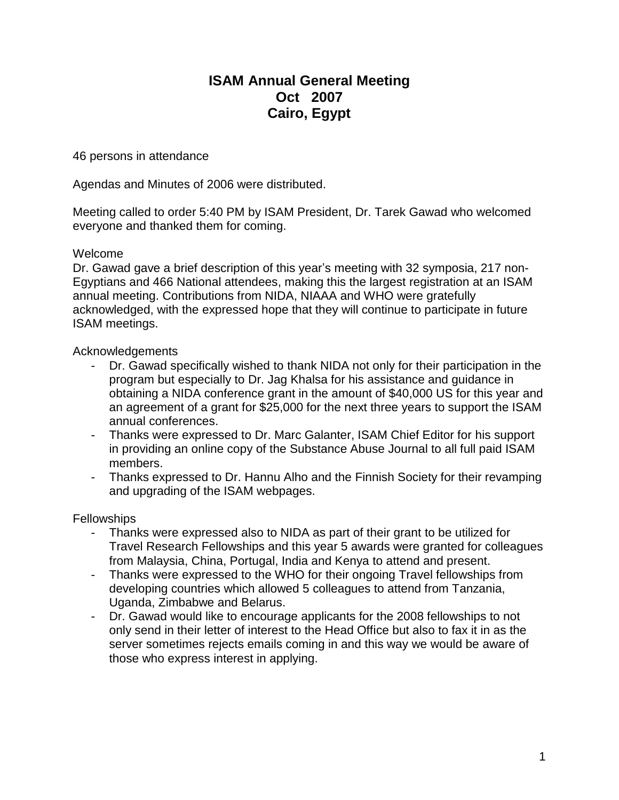# **ISAM Annual General Meeting Oct 2007 Cairo, Egypt**

46 persons in attendance

Agendas and Minutes of 2006 were distributed.

Meeting called to order 5:40 PM by ISAM President, Dr. Tarek Gawad who welcomed everyone and thanked them for coming.

#### Welcome

Dr. Gawad gave a brief description of this year's meeting with 32 symposia, 217 non-Egyptians and 466 National attendees, making this the largest registration at an ISAM annual meeting. Contributions from NIDA, NIAAA and WHO were gratefully acknowledged, with the expressed hope that they will continue to participate in future ISAM meetings.

## Acknowledgements

- Dr. Gawad specifically wished to thank NIDA not only for their participation in the program but especially to Dr. Jag Khalsa for his assistance and guidance in obtaining a NIDA conference grant in the amount of \$40,000 US for this year and an agreement of a grant for \$25,000 for the next three years to support the ISAM annual conferences.
- Thanks were expressed to Dr. Marc Galanter, ISAM Chief Editor for his support in providing an online copy of the Substance Abuse Journal to all full paid ISAM members.
- Thanks expressed to Dr. Hannu Alho and the Finnish Society for their revamping and upgrading of the ISAM webpages.

## **Fellowships**

- Thanks were expressed also to NIDA as part of their grant to be utilized for Travel Research Fellowships and this year 5 awards were granted for colleagues from Malaysia, China, Portugal, India and Kenya to attend and present.
- Thanks were expressed to the WHO for their ongoing Travel fellowships from developing countries which allowed 5 colleagues to attend from Tanzania, Uganda, Zimbabwe and Belarus.
- Dr. Gawad would like to encourage applicants for the 2008 fellowships to not only send in their letter of interest to the Head Office but also to fax it in as the server sometimes rejects emails coming in and this way we would be aware of those who express interest in applying.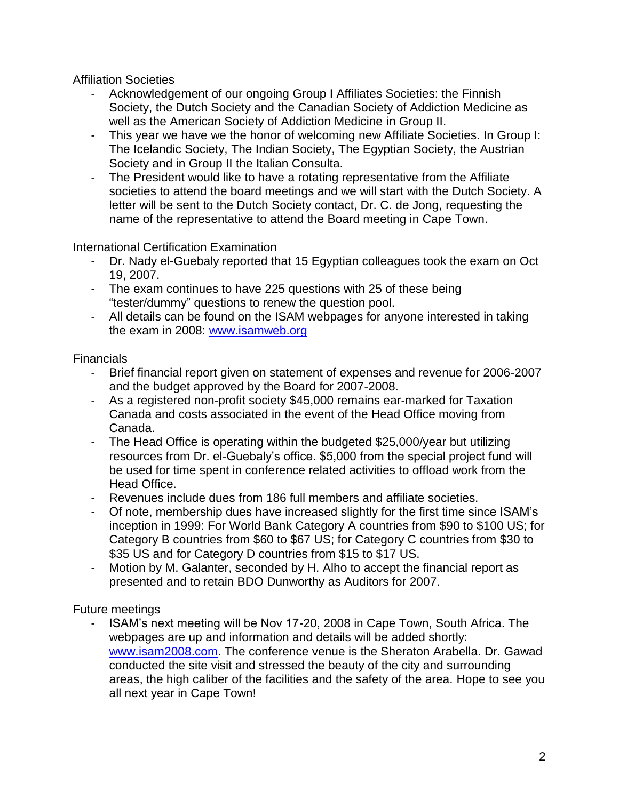Affiliation Societies

- Acknowledgement of our ongoing Group I Affiliates Societies: the Finnish Society, the Dutch Society and the Canadian Society of Addiction Medicine as well as the American Society of Addiction Medicine in Group II.
- This year we have we the honor of welcoming new Affiliate Societies. In Group I: The Icelandic Society, The Indian Society, The Egyptian Society, the Austrian Society and in Group II the Italian Consulta.
- The President would like to have a rotating representative from the Affiliate societies to attend the board meetings and we will start with the Dutch Society. A letter will be sent to the Dutch Society contact, Dr. C. de Jong, requesting the name of the representative to attend the Board meeting in Cape Town.

International Certification Examination

- Dr. Nady el-Guebaly reported that 15 Egyptian colleagues took the exam on Oct 19, 2007.
- The exam continues to have 225 questions with 25 of these being "tester/dummy" questions to renew the question pool.
- All details can be found on the ISAM webpages for anyone interested in taking the exam in 2008: [www.isamweb.org](http://www.isamweb.org/)

Financials

- Brief financial report given on statement of expenses and revenue for 2006-2007 and the budget approved by the Board for 2007-2008.
- As a registered non-profit society \$45,000 remains ear-marked for Taxation Canada and costs associated in the event of the Head Office moving from Canada.
- The Head Office is operating within the budgeted \$25,000/year but utilizing resources from Dr. el-Guebaly's office. \$5,000 from the special project fund will be used for time spent in conference related activities to offload work from the Head Office.
- Revenues include dues from 186 full members and affiliate societies.
- Of note, membership dues have increased slightly for the first time since ISAM's inception in 1999: For World Bank Category A countries from \$90 to \$100 US; for Category B countries from \$60 to \$67 US; for Category C countries from \$30 to \$35 US and for Category D countries from \$15 to \$17 US.
- Motion by M. Galanter, seconded by H. Alho to accept the financial report as presented and to retain BDO Dunworthy as Auditors for 2007.

Future meetings

- ISAM's next meeting will be Nov 17-20, 2008 in Cape Town, South Africa. The webpages are up and information and details will be added shortly: [www.isam2008.com.](http://www.isam2008.com/) The conference venue is the Sheraton Arabella. Dr. Gawad conducted the site visit and stressed the beauty of the city and surrounding areas, the high caliber of the facilities and the safety of the area. Hope to see you all next year in Cape Town!